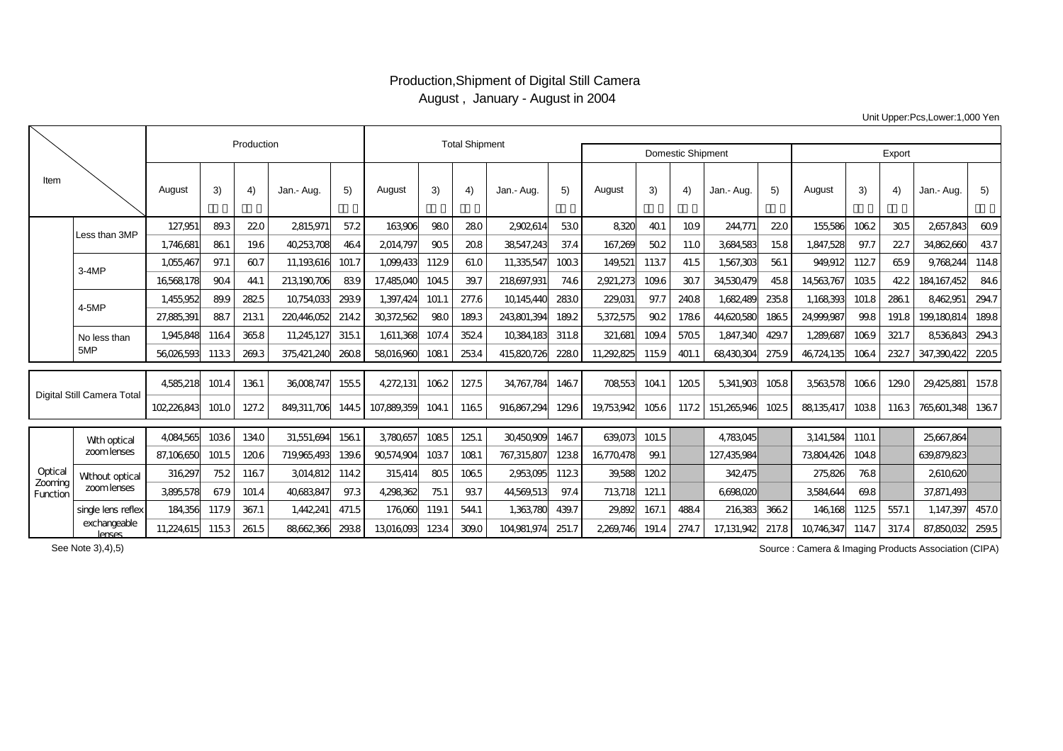## Production,Shipment of Digital Still Camera August , January - August in 2004

Unit Upper:Pcs,Lower:1,000 Yen

|                                |                            |             | Production |       | <b>Total Shipment</b> |       |             |       |       |             |       |            |       |                          |             |        |            |       |       |             |       |
|--------------------------------|----------------------------|-------------|------------|-------|-----------------------|-------|-------------|-------|-------|-------------|-------|------------|-------|--------------------------|-------------|--------|------------|-------|-------|-------------|-------|
|                                |                            |             |            |       |                       |       |             |       |       |             |       |            |       | <b>Domestic Shipment</b> |             | Export |            |       |       |             |       |
| Item                           |                            | August      | 3)         | 4)    | Jan.- Aug.            | 5)    | August      | 3)    | 4)    | Jan.- Aug.  | 5)    | August     | 3)    | 4)                       | Jan.- Aug.  | 5)     | August     | 3)    | 4)    | Jan.- Aug.  | 5)    |
|                                | Less than 3MP              | 127,951     | 893        | 220   | 2815971               | 57.2  | 163906      | 980   | 280   | 2902614     | 530   | 8320       | 40.1  | 109                      | 244,771     | 220    | 155,586    | 1062  | 305   | 2657,843    | 609   |
|                                |                            | 1.746681    | 861        | 196   | 40253708              | 464   | 2014797     | 905   | 208   | 38547.243   | 37.4  | 167.269    | 502   | 11.0                     | 3684583     | 158    | 1.847.528  | 97.7  | 22.7  | 34862660    | 437   |
|                                | $3-4MP$                    | 1.055467    | 97.1       | 607   | 11.193616             | 101.7 | 1.099.433   | 1129  | 61.0  | 11.335.547  | 1003  | 149,521    | 1137  | 41.5                     | 1.567.303   | 561    | 949.912    | 1127  | 659   | 9.76824     | 1148  |
|                                |                            | 16568178    | 904        | 44.1  | 213190706             | 839   | 17,485,040  | 1045  | 39.7  | 218697,931  | 746   | 2,921,273  | 109.6 | 307                      | 34530479    | 458    | 14563767   | 1035  | 422   | 184167.452  | 846   |
|                                | 4-5MP                      | 1.455.952   | 89.9       | 282.5 | 10754033              | 2939  | 1.397.424   | 101.1 | 277.6 | 10145440    | 2830  | 229,031    | 97.7  | 2408                     | 1.682.489   | 2358   | 1,168393   | 101.8 | 2861  | 846295      | 2947  |
|                                |                            | 27.885.391  | 887        | 2131  | 220446052             | 2142  | 30372562    | 980   | 1893  | 243801.394  | 1892  | 5372575    | 902   | 1786                     | 44620580    | 1865   | 24999987   | 998   | 191.8 | 199.180.81  | 1898  |
|                                | No less than<br>5MP        | 1,945,848   | 1164       | 3658  | 11,245,127            | 3151  | 1,611,368   | 107.4 | 3524  | 10384,183   | 311.8 | 321,681    | 109.4 | 5705                     | 1,847,340   | 429.7  | 1,289,687  | 1069  | 321.7 | 8536843     | 2943  |
|                                |                            | 56026593    | 1133       | 2693  | 375421,240            | 2608  | 58016960    | 1081  | 2534  | 415820.726  | 2280  | 11.292.825 | 1159  | 401.1                    | 68430304    | 2759   | 46,724,135 | 1064  | 232.7 | 347,390,422 | 2205  |
| Digital Still Camera Total     |                            | 4585218     | 101.4      | 1361  | 36008747              | 155.5 | 4272131     | 1062  | 127.5 | 34.767.784  | 1467  | 708553     | 104.1 | 1205                     | 5341.903    | 1058   | 3563578    | 1066  | 1290  | 29,425,881  | 157.8 |
|                                |                            | 102.226.843 | 101.0      | 127.2 | 849311.706            | 144.5 | 107.889.359 | 1041  | 1165  | 916,867,294 | 1296  | 19753942   | 1056  | 117.2                    | 151.265.946 | 1025   | 88135417   | 1038  | 1163  | 765601,348  | 1367  |
| Optical<br>Zooming<br>Function | With optical<br>zoomlenses | 4084565     | 1036       | 1340  | 31.551.694            | 1561  | 3780657     | 1085  | 125.1 | 30450909    | 1467  | 639.073    | 101.5 |                          | 4783045     |        | 3141.584   | 1101  |       | 25667.864   |       |
|                                |                            | 87,106,650  | 101.5      | 1206  | 719965493             | 1396  | 90574904    | 1037  | 1081  | 767,315,807 | 1238  | 16770478   | 99.1  |                          | 127,435,984 |        | 73804426   | 1048  |       | 639.879.823 |       |
|                                | Without optical            | 316297      | 752        | 1167  | 3014812               | 1142  | 315414      | 805   | 1065  | 2953095     | 1123  | 39.588     | 1202  |                          | 342,475     |        | 275.826    | 768   |       | 2610620     |       |
|                                | zoomlenses                 | 3895,578    | 67.9       | 101.4 | 40683847              | 973   | 4298362     | 751   | 937   | 44,569,513  | 97.4  | 713718     | 121.1 |                          | 6698020     |        | 3584644    | 698   |       | 37,871,493  |       |
|                                | single lens reflex         | 184,356     | 117.9      | 367.1 | 1,442,24              | 471.5 | 176060      | 1191  | 544.1 | 1,363780    | 439.7 | 29.892     | 167.1 | 4884                     | 216383      | 3662   | 146,168    | 1125  | 557.1 | 1,147,397   | 457.0 |
|                                | exchangeable<br>lenses     | 11,224,615  | 1153       | 261.5 | 88662366              | 2938  | 13016093    | 1234  | 3090  | 104981,974  | 251.7 | 2269.746   | 191.4 | 2747                     | 17,131,942  | 217.8  | 10746347   | 1147  | 317.4 | 87,850,032  | 259.5 |

Source : Camera & Imaging Products Association (CIPA)

See Note 3),4),5)